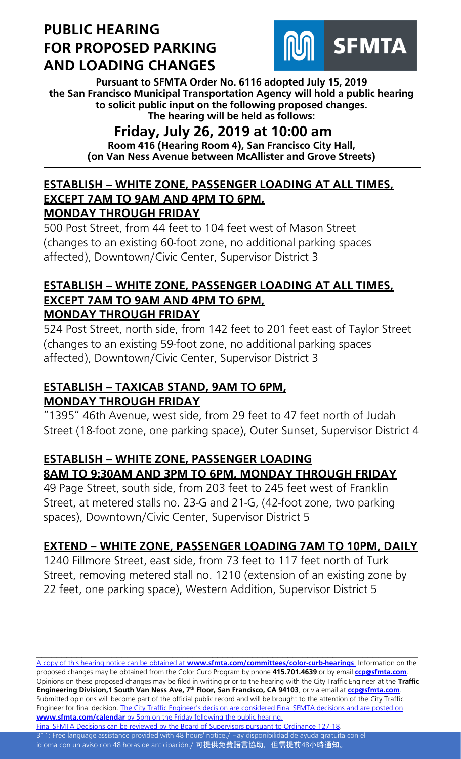# **PUBLIC HEARING FOR PROPOSED PARKING AND LOADING CHANGES**



**Pursuant to SFMTA Order No. 6116 adopted July 15, 2019 the San Francisco Municipal Transportation Agency will hold a public hearing to solicit public input on the following proposed changes. The hearing will be held as follows:**

## **Friday, July 26, 2019 at 10:00 am**

**Room 416 (Hearing Room 4), San Francisco City Hall, (on Van Ness Avenue between McAllister and Grove Streets) \_\_\_\_\_\_\_\_\_\_\_\_\_\_\_\_\_\_\_\_\_\_\_\_\_\_\_\_\_\_\_\_\_\_\_\_\_\_\_\_\_\_\_\_\_\_\_\_\_\_\_\_\_\_\_\_\_\_\_\_\_\_\_\_\_\_\_\_\_\_\_\_\_\_\_\_**

#### **ESTABLISH – WHITE ZONE, PASSENGER LOADING AT ALL TIMES, EXCEPT 7AM TO 9AM AND 4PM TO 6PM, MONDAY THROUGH FRIDAY**

500 Post Street, from 44 feet to 104 feet west of Mason Street (changes to an existing 60-foot zone, no additional parking spaces affected), Downtown/Civic Center, Supervisor District 3

#### **ESTABLISH – WHITE ZONE, PASSENGER LOADING AT ALL TIMES, EXCEPT 7AM TO 9AM AND 4PM TO 6PM, MONDAY THROUGH FRIDAY**

524 Post Street, north side, from 142 feet to 201 feet east of Taylor Street (changes to an existing 59-foot zone, no additional parking spaces affected), Downtown/Civic Center, Supervisor District 3

## **ESTABLISH – TAXICAB STAND, 9AM TO 6PM, MONDAY THROUGH FRIDAY**

"1395" 46th Avenue, west side, from 29 feet to 47 feet north of Judah Street (18-foot zone, one parking space), Outer Sunset, Supervisor District 4

## **ESTABLISH – WHITE ZONE, PASSENGER LOADING 8AM TO 9:30AM AND 3PM TO 6PM, MONDAY THROUGH FRIDAY**

49 Page Street, south side, from 203 feet to 245 feet west of Franklin Street, at metered stalls no. 23-G and 21-G, (42-foot zone, two parking spaces), Downtown/Civic Center, Supervisor District 5

### **EXTEND – WHITE ZONE, PASSENGER LOADING 7AM TO 10PM, DAILY**

1240 Fillmore Street, east side, from 73 feet to 117 feet north of Turk Street, removing metered stall no. 1210 (extension of an existing zone by 22 feet, one parking space), Western Addition, Supervisor District 5

A copy of this hearing notice can be obtained at **[www.sfmta.com/committees/color-curb-hearings](https://www.sfmta.com/committees/color-curb-hearings)**. Information on the proposed changes may be obtained from the Color Curb Program by phone **415.701.4639** or by email **[ccp@sfmta.com](mailto:ccp@sfmta.com)**. Opinions on these proposed changes may be filed in writing prior to the hearing with the City Traffic Engineer at the **Traffic Engineering Division,1 South Van Ness Ave, 7 th Floor, San Francisco, CA 94103**, or via email at **[ccp@sfmta.com](mailto:ccp@sfmta.com)**. Submitted opinions will become part of the official public record and will be brought to the attention of the City Traffic Engineer for final decision. The City Traffic Engineer's decision are considered Final SFMTA decisions and are posted on **www.sfmta.com/calendar** [by 5pm on the Friday following the public hearing.](https://www.sfmta.com/calendar) [Final SFMTA Decisions can be reviewed by the Board of Supervisors pursuant to Ordinance 127-18.](https://sfbos.org/sites/default/files/o0127-18.pdf)

\_\_\_\_\_\_\_\_\_\_\_\_\_\_\_\_\_\_\_\_\_\_\_\_\_\_\_\_\_\_\_\_\_\_\_\_\_\_\_\_\_\_\_\_\_\_\_\_\_\_\_\_\_\_\_\_\_\_\_\_\_\_\_\_\_\_\_\_\_\_\_\_\_\_\_\_

311: Free language assistance provided with 48 hours' notice./ Hay disponibilidad de ayuda gratuita con el idioma con un aviso con 48 horas de anticipación./ <mark>可提供免費語言協助, 但需提前48小時通知。</mark>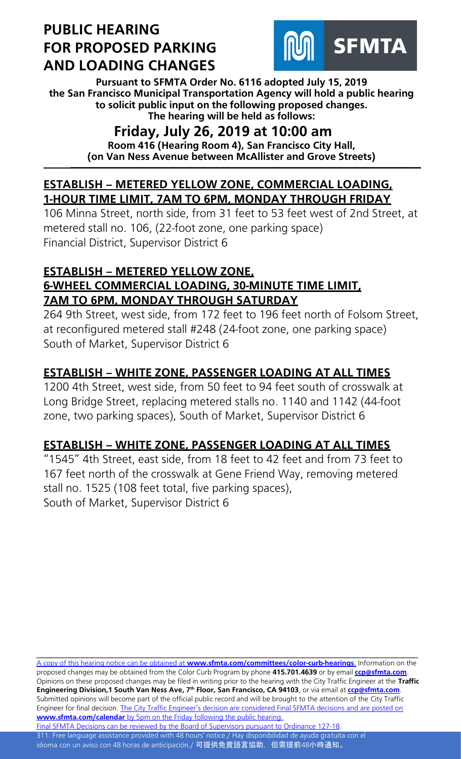# **PUBLIC HEARING FOR PROPOSED PARKING AND LOADING CHANGES**



**Pursuant to SFMTA Order No. 6116 adopted July 15, 2019 the San Francisco Municipal Transportation Agency will hold a public hearing to solicit public input on the following proposed changes. The hearing will be held as follows:**

## **Friday, July 26, 2019 at 10:00 am**

**Room 416 (Hearing Room 4), San Francisco City Hall, (on Van Ness Avenue between McAllister and Grove Streets) \_\_\_\_\_\_\_\_\_\_\_\_\_\_\_\_\_\_\_\_\_\_\_\_\_\_\_\_\_\_\_\_\_\_\_\_\_\_\_\_\_\_\_\_\_\_\_\_\_\_\_\_\_\_\_\_\_\_\_\_\_\_\_\_\_\_\_\_\_\_\_\_\_\_\_\_**

### **ESTABLISH – METERED YELLOW ZONE, COMMERCIAL LOADING, 1-HOUR TIME LIMIT, 7AM TO 6PM, MONDAY THROUGH FRIDAY**

106 Minna Street, north side, from 31 feet to 53 feet west of 2nd Street, at metered stall no. 106, (22-foot zone, one parking space) Financial District, Supervisor District 6

#### **ESTABLISH – METERED YELLOW ZONE, 6-WHEEL COMMERCIAL LOADING, 30-MINUTE TIME LIMIT, 7AM TO 6PM, MONDAY THROUGH SATURDAY**

264 9th Street, west side, from 172 feet to 196 feet north of Folsom Street, at reconfigured metered stall #248 (24-foot zone, one parking space) South of Market, Supervisor District 6

## **ESTABLISH – WHITE ZONE, PASSENGER LOADING AT ALL TIMES**

1200 4th Street, west side, from 50 feet to 94 feet south of crosswalk at Long Bridge Street, replacing metered stalls no. 1140 and 1142 (44-foot zone, two parking spaces), South of Market, Supervisor District 6

## **ESTABLISH – WHITE ZONE, PASSENGER LOADING AT ALL TIMES**

"1545" 4th Street, east side, from 18 feet to 42 feet and from 73 feet to 167 feet north of the crosswalk at Gene Friend Way, removing metered stall no. 1525 (108 feet total, five parking spaces), South of Market, Supervisor District 6

\_\_\_\_\_\_\_\_\_\_\_\_\_\_\_\_\_\_\_\_\_\_\_\_\_\_\_\_\_\_\_\_\_\_\_\_\_\_\_\_\_\_\_\_\_\_\_\_\_\_\_\_\_\_\_\_\_\_\_\_\_\_\_\_\_\_\_\_\_\_\_\_\_\_\_\_ A copy of this hearing notice can be obtained at **[www.sfmta.com/committees/color-curb-hearings](https://www.sfmta.com/committees/color-curb-hearings)**. Information on the proposed changes may be obtained from the Color Curb Program by phone **415.701.4639** or by email **[ccp@sfmta.com](mailto:ccp@sfmta.com)**. Opinions on these proposed changes may be filed in writing prior to the hearing with the City Traffic Engineer at the **Traffic Engineering Division,1 South Van Ness Ave, 7 th Floor, San Francisco, CA 94103**, or via email at **[ccp@sfmta.com](mailto:ccp@sfmta.com)**. Submitted opinions will become part of the official public record and will be brought to the attention of the City Traffic Engineer for final decision. The City Traffic Engineer's decision are considered Final SFMTA decisions and are posted on **www.sfmta.com/calendar** [by 5pm on the Friday following the public hearing.](https://www.sfmta.com/calendar) [Final SFMTA Decisions can be reviewed by the Board of Supervisors pursuant to Ordinance 127-18.](https://sfbos.org/sites/default/files/o0127-18.pdf)

311: Free language assistance provided with 48 hours' notice./ Hay disponibilidad de ayuda gratuita con el idioma con un aviso con 48 horas de anticipación./ 可提供免費語言協助, 但需提前48小時通知。